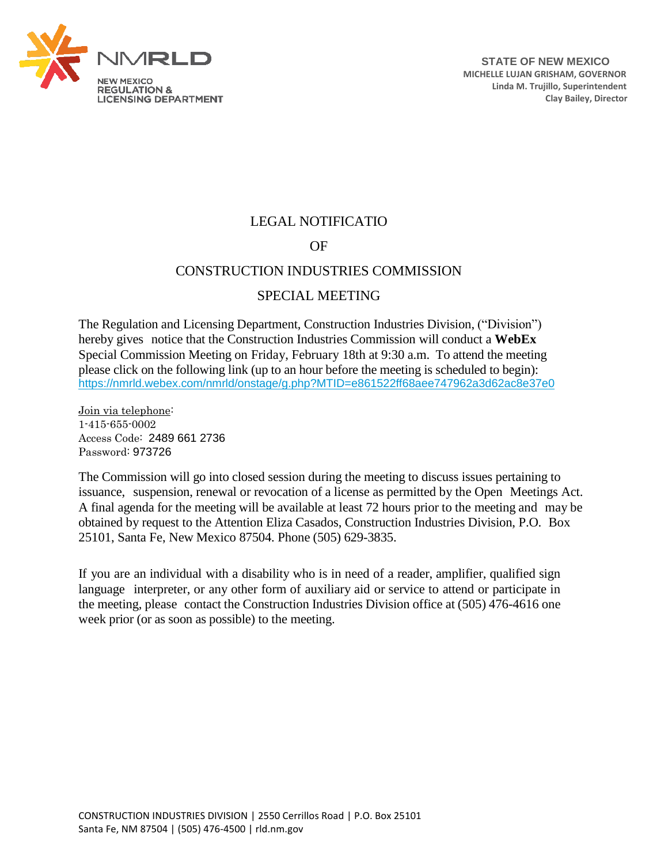

## LEGAL NOTIFICATIO

## OF

## CONSTRUCTION INDUSTRIES COMMISSION

## SPECIAL MEETING

The Regulation and Licensing Department, Construction Industries Division, ("Division") hereby gives notice that the Construction Industries Commission will conduct a **WebEx**  Special Commission Meeting on Friday, February 18th at 9:30 a.m. To attend the meeting please click on the following link (up to an hour before the meeting is scheduled to begin): <https://nmrld.webex.com/nmrld/onstage/g.php?MTID=e861522ff68aee747962a3d62ac8e37e0>

Join via telephone: 1-415-655-0002 Access Code: 2489 661 2736 Password: 973726

The Commission will go into closed session during the meeting to discuss issues pertaining to issuance, suspension, renewal or revocation of a license as permitted by the Open Meetings Act. A final agenda for the meeting will be available at least 72 hours prior to the meeting and may be obtained by request to the Attention Eliza Casados, Construction Industries Division, P.O. Box 25101, Santa Fe, New Mexico 87504. Phone (505) 629-3835.

If you are an individual with a disability who is in need of a reader, amplifier, qualified sign language interpreter, or any other form of auxiliary aid or service to attend or participate in the meeting, please contact the Construction Industries Division office at (505) 476-4616 one week prior (or as soon as possible) to the meeting.